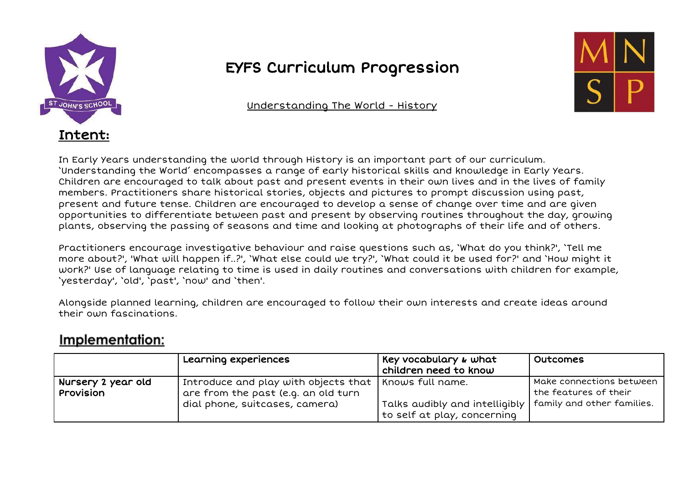

## EYFS Curriculum Progression

Understanding The World - History

In Early Years understanding the world through History is an important part of our curriculum. 'Understanding the World' encompasses a range of early historical skills and knowledge in Early Years. Children are encouraged to talk about past and present events in their own lives and in the lives of family members. Practitioners share historical stories, objects and pictures to prompt discussion using past, present and future tense. Children are encouraged to develop a sense of change over time and are given opportunities to differentiate between past and present by observing routines throughout the day, growing plants, observing the passing of seasons and time and looking at photographs of their life and of others.

Practitioners encourage investigative behaviour and raise questions such as, 'What do you think?', 'Tell me more about?', 'What will happen if..?', 'What else could we try?', 'What could it be used for?' and 'How might it work?' Use of language relating to time is used in daily routines and conversations with children for example, 'yesterday', 'old', 'past', 'now' and 'then'.

Alongside planned learning, children are encouraged to follow their own interests and create ideas around their own fascinations.

## Implementation:

|                    | Learning experiences                                                | Key vocabulary & what          | Outcomes                   |
|--------------------|---------------------------------------------------------------------|--------------------------------|----------------------------|
|                    |                                                                     | children need to know          |                            |
| Nursery 2 year old | $\mid$ Introduce and play with objects that $\mid$ Knows full name. |                                | Make connections between   |
| Provision          | are from the past (e.g. an old turn                                 |                                | the features of their      |
|                    | dial phone, suitcases, camera)                                      | Talks audibly and intelligibly | family and other families. |
|                    |                                                                     | to self at play, concerning    |                            |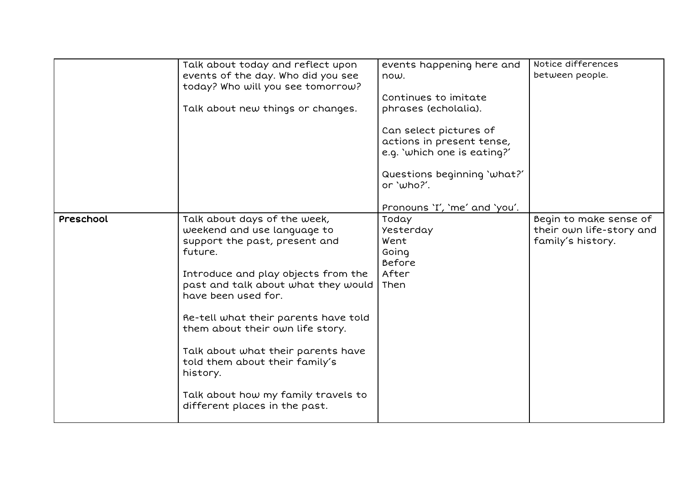|           | Talk about today and reflect upon<br>events of the day. Who did you see<br>today? Who will you see tomorrow?<br>Talk about new things or changes.                                                                                                                                                                                                                                                                                                    | events happening here and<br>now.<br>Continues to imitate<br>phrases (echolalia).<br>Can select pictures of<br>actions in present tense,<br>e.g. 'which one is eating?'<br>Questions beginning 'what?'<br>or 'who?'.<br>Pronouns 'I', 'me' and 'you'. | Notice differences<br>between people.                                   |
|-----------|------------------------------------------------------------------------------------------------------------------------------------------------------------------------------------------------------------------------------------------------------------------------------------------------------------------------------------------------------------------------------------------------------------------------------------------------------|-------------------------------------------------------------------------------------------------------------------------------------------------------------------------------------------------------------------------------------------------------|-------------------------------------------------------------------------|
| Preschool | Talk about days of the week,<br>weekend and use language to<br>support the past, present and<br>future.<br>Introduce and play objects from the<br>past and talk about what they would<br>have been used for.<br>Re-tell what their parents have told<br>them about their own life story.<br>Talk about what their parents have<br>told them about their family's<br>history.<br>Talk about how my family travels to<br>different places in the past. | Today<br>Yesterday<br>Went<br>Going<br>Before<br>After<br>Then                                                                                                                                                                                        | Begin to make sense of<br>their own life-story and<br>family's history. |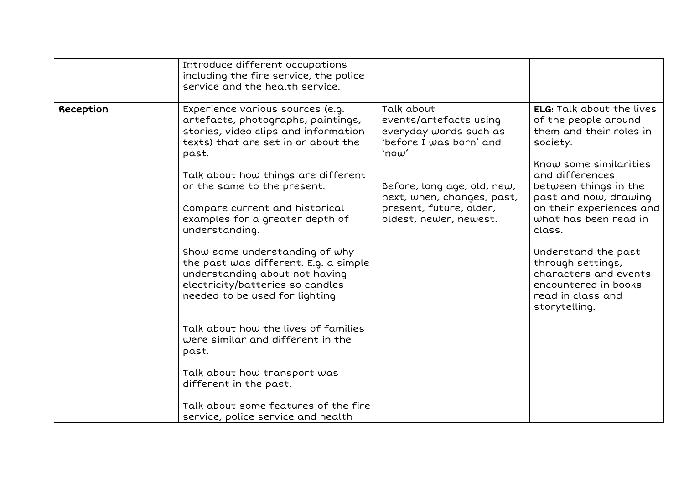|           | Introduce different occupations<br>including the fire service, the police<br>service and the health service.                                                                                                                                                                                               |                                                                                                                |                                                                                                                                                                                                                                                         |
|-----------|------------------------------------------------------------------------------------------------------------------------------------------------------------------------------------------------------------------------------------------------------------------------------------------------------------|----------------------------------------------------------------------------------------------------------------|---------------------------------------------------------------------------------------------------------------------------------------------------------------------------------------------------------------------------------------------------------|
| Reception | Experience various sources (e.g.<br>artefacts, photographs, paintings,<br>stories, video clips and information<br>texts) that are set in or about the<br>past.                                                                                                                                             | Talk about<br>events/artefacts using<br>everyday words such as<br>'before I was born' and<br>`now'             | <b>ELG:</b> Talk about the lives<br>of the people around<br>them and their roles in<br>society.                                                                                                                                                         |
|           | Talk about how things are different<br>or the same to the present.<br>Compare current and historical<br>examples for a greater depth of<br>understanding.<br>Show some understanding of why<br>the past was different. E.g. a simple<br>understanding about not having<br>electricity/batteries so candles | Before, long age, old, new,<br>next, when, changes, past,<br>present, future, older,<br>oldest, newer, newest. | Know some similarities<br>and differences<br>between things in the<br>past and now, drawing<br>on their experiences and<br>what has been read in<br>class.<br>Understand the past<br>through settings,<br>characters and events<br>encountered in books |
|           | needed to be used for lighting<br>Talk about how the lives of families<br>were similar and different in the<br>past.<br>Talk about how transport was<br>different in the past.<br>Talk about some features of the fire<br>service, police service and health                                               |                                                                                                                | read in class and<br>storytelling.                                                                                                                                                                                                                      |